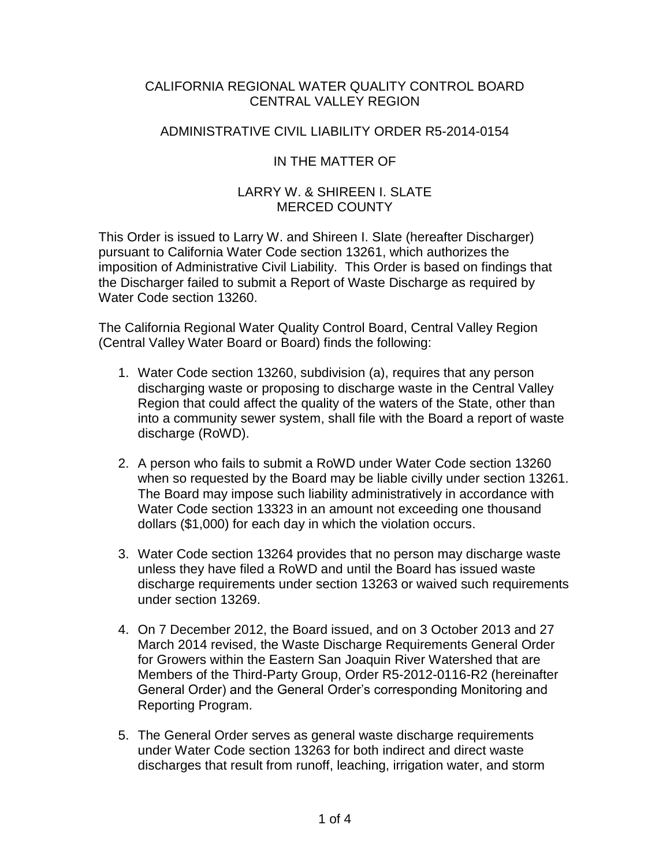#### CALIFORNIA REGIONAL WATER QUALITY CONTROL BOARD CENTRAL VALLEY REGION

## ADMINISTRATIVE CIVIL LIABILITY ORDER R5-2014-0154

## IN THE MATTER OF

#### LARRY W. & SHIREEN I. SLATE MERCED COUNTY

This Order is issued to Larry W. and Shireen I. Slate (hereafter Discharger) pursuant to California Water Code section 13261, which authorizes the imposition of Administrative Civil Liability. This Order is based on findings that the Discharger failed to submit a Report of Waste Discharge as required by Water Code section 13260.

The California Regional Water Quality Control Board, Central Valley Region (Central Valley Water Board or Board) finds the following:

- 1. Water Code section 13260, subdivision (a), requires that any person discharging waste or proposing to discharge waste in the Central Valley Region that could affect the quality of the waters of the State, other than into a community sewer system, shall file with the Board a report of waste discharge (RoWD).
- 2. A person who fails to submit a RoWD under Water Code section 13260 when so requested by the Board may be liable civilly under section 13261. The Board may impose such liability administratively in accordance with Water Code section 13323 in an amount not exceeding one thousand dollars (\$1,000) for each day in which the violation occurs.
- 3. Water Code section 13264 provides that no person may discharge waste unless they have filed a RoWD and until the Board has issued waste discharge requirements under section 13263 or waived such requirements under section 13269.
- 4. On 7 December 2012, the Board issued, and on 3 October 2013 and 27 March 2014 revised, the Waste Discharge Requirements General Order for Growers within the Eastern San Joaquin River Watershed that are Members of the Third-Party Group, Order R5-2012-0116-R2 (hereinafter General Order) and the General Order's corresponding Monitoring and Reporting Program.
- 5. The General Order serves as general waste discharge requirements under Water Code section 13263 for both indirect and direct waste discharges that result from runoff, leaching, irrigation water, and storm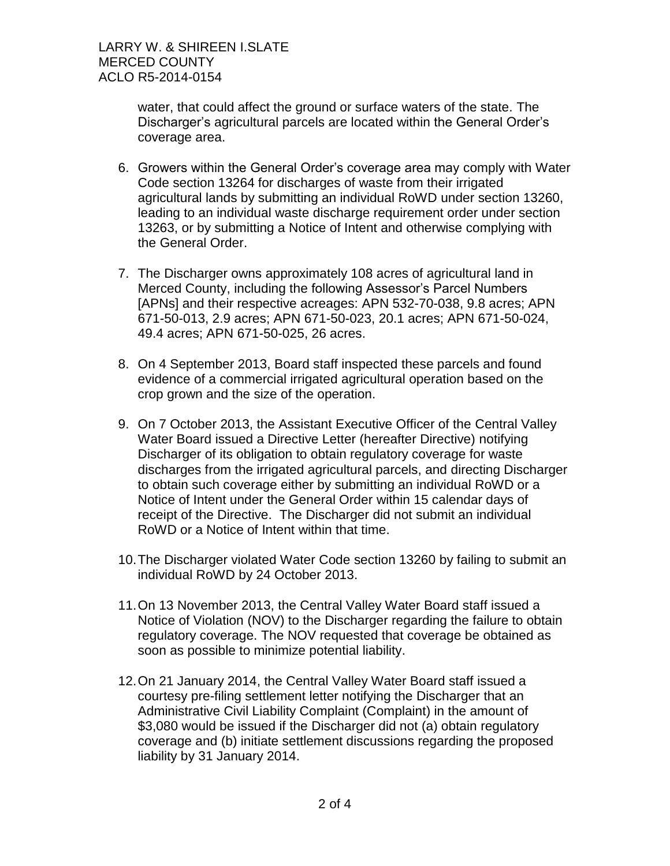water, that could affect the ground or surface waters of the state. The Discharger's agricultural parcels are located within the General Order's coverage area.

- 6. Growers within the General Order's coverage area may comply with Water Code section 13264 for discharges of waste from their irrigated agricultural lands by submitting an individual RoWD under section 13260, leading to an individual waste discharge requirement order under section 13263, or by submitting a Notice of Intent and otherwise complying with the General Order.
- 7. The Discharger owns approximately 108 acres of agricultural land in Merced County, including the following Assessor's Parcel Numbers [APNs] and their respective acreages: APN 532-70-038, 9.8 acres; APN 671-50-013, 2.9 acres; APN 671-50-023, 20.1 acres; APN 671-50-024, 49.4 acres; APN 671-50-025, 26 acres.
- 8. On 4 September 2013, Board staff inspected these parcels and found evidence of a commercial irrigated agricultural operation based on the crop grown and the size of the operation.
- 9. On 7 October 2013, the Assistant Executive Officer of the Central Valley Water Board issued a Directive Letter (hereafter Directive) notifying Discharger of its obligation to obtain regulatory coverage for waste discharges from the irrigated agricultural parcels, and directing Discharger to obtain such coverage either by submitting an individual RoWD or a Notice of Intent under the General Order within 15 calendar days of receipt of the Directive. The Discharger did not submit an individual RoWD or a Notice of Intent within that time.
- 10.The Discharger violated Water Code section 13260 by failing to submit an individual RoWD by 24 October 2013.
- 11.On 13 November 2013, the Central Valley Water Board staff issued a Notice of Violation (NOV) to the Discharger regarding the failure to obtain regulatory coverage. The NOV requested that coverage be obtained as soon as possible to minimize potential liability.
- 12.On 21 January 2014, the Central Valley Water Board staff issued a courtesy pre-filing settlement letter notifying the Discharger that an Administrative Civil Liability Complaint (Complaint) in the amount of \$3,080 would be issued if the Discharger did not (a) obtain regulatory coverage and (b) initiate settlement discussions regarding the proposed liability by 31 January 2014.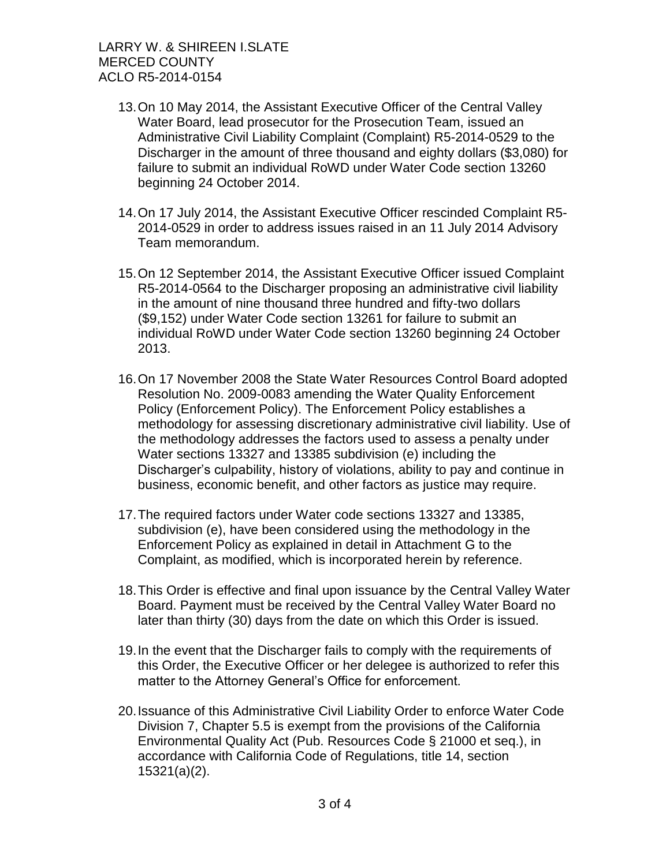LARRY W. & SHIREEN I.SLATE MERCED COUNTY ACLO R5-2014-0154

- 13.On 10 May 2014, the Assistant Executive Officer of the Central Valley Water Board, lead prosecutor for the Prosecution Team, issued an Administrative Civil Liability Complaint (Complaint) R5-2014-0529 to the Discharger in the amount of three thousand and eighty dollars (\$3,080) for failure to submit an individual RoWD under Water Code section 13260 beginning 24 October 2014.
- 14.On 17 July 2014, the Assistant Executive Officer rescinded Complaint R5- 2014-0529 in order to address issues raised in an 11 July 2014 Advisory Team memorandum.
- 15.On 12 September 2014, the Assistant Executive Officer issued Complaint R5-2014-0564 to the Discharger proposing an administrative civil liability in the amount of nine thousand three hundred and fifty-two dollars (\$9,152) under Water Code section 13261 for failure to submit an individual RoWD under Water Code section 13260 beginning 24 October 2013.
- 16.On 17 November 2008 the State Water Resources Control Board adopted Resolution No. 2009-0083 amending the Water Quality Enforcement Policy (Enforcement Policy). The Enforcement Policy establishes a methodology for assessing discretionary administrative civil liability. Use of the methodology addresses the factors used to assess a penalty under Water sections 13327 and 13385 subdivision (e) including the Discharger's culpability, history of violations, ability to pay and continue in business, economic benefit, and other factors as justice may require.
- 17.The required factors under Water code sections 13327 and 13385, subdivision (e), have been considered using the methodology in the Enforcement Policy as explained in detail in Attachment G to the Complaint, as modified, which is incorporated herein by reference.
- 18.This Order is effective and final upon issuance by the Central Valley Water Board. Payment must be received by the Central Valley Water Board no later than thirty (30) days from the date on which this Order is issued.
- 19.In the event that the Discharger fails to comply with the requirements of this Order, the Executive Officer or her delegee is authorized to refer this matter to the Attorney General's Office for enforcement.
- 20.Issuance of this Administrative Civil Liability Order to enforce Water Code Division 7, Chapter 5.5 is exempt from the provisions of the California Environmental Quality Act (Pub. Resources Code § 21000 et seq.), in accordance with California Code of Regulations, title 14, section 15321(a)(2).